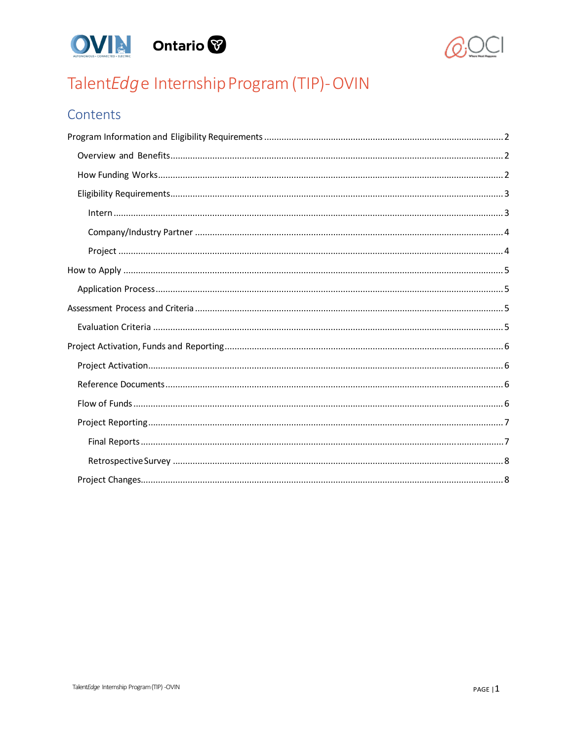



# TalentEdge Internship Program (TIP)-OVIN

# Contents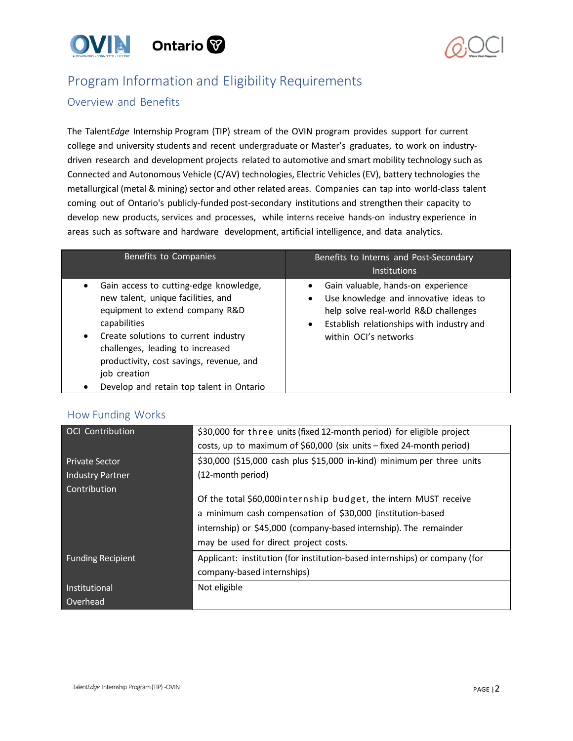



# <span id="page-1-0"></span>Program Information and Eligibility Requirements

# <span id="page-1-1"></span>Overview and Benefits

The Talent*Edge* Internship Program (TIP) stream of the OVIN program provides support for current college and university students and recent undergraduate or Master's graduates, to work on industrydriven research and development projects related to automotive and smart mobility technology such as Connected and Autonomous Vehicle (C/AV) technologies, Electric Vehicles (EV), battery technologies the metallurgical (metal & mining) sector and other related areas. Companies can tap into world-class talent coming out of Ontario's publicly-funded post-secondary institutions and strengthen their capacity to develop new products, services and processes, while interns receive hands-on industry experience in areas such as software and hardware development, artificial intelligence, and data analytics.

| Benefits to Companies                                                                                                                                                                                                                                                                                               | Benefits to Interns and Post-Secondary<br><b>Institutions</b>                                                                                                                             |
|---------------------------------------------------------------------------------------------------------------------------------------------------------------------------------------------------------------------------------------------------------------------------------------------------------------------|-------------------------------------------------------------------------------------------------------------------------------------------------------------------------------------------|
| Gain access to cutting-edge knowledge,<br>new talent, unique facilities, and<br>equipment to extend company R&D<br>capabilities<br>Create solutions to current industry<br>challenges, leading to increased<br>productivity, cost savings, revenue, and<br>job creation<br>Develop and retain top talent in Ontario | Gain valuable, hands-on experience<br>Use knowledge and innovative ideas to<br>help solve real-world R&D challenges<br>Establish relationships with industry and<br>within OCI's networks |

### <span id="page-1-2"></span>How Funding Works

| <b>OCI</b> Contribution  | \$30,000 for three units (fixed 12-month period) for eligible project      |  |
|--------------------------|----------------------------------------------------------------------------|--|
|                          | costs, up to maximum of \$60,000 (six units – fixed 24-month period)       |  |
| <b>Private Sector</b>    | \$30,000 (\$15,000 cash plus \$15,000 in-kind) minimum per three units     |  |
| <b>Industry Partner</b>  | (12-month period)                                                          |  |
| Contribution             |                                                                            |  |
|                          | Of the total \$60,000 internship budget, the intern MUST receive           |  |
|                          | a minimum cash compensation of \$30,000 (institution-based                 |  |
|                          | internship) or \$45,000 (company-based internship). The remainder          |  |
|                          | may be used for direct project costs.                                      |  |
| <b>Funding Recipient</b> | Applicant: institution (for institution-based internships) or company (for |  |
|                          | company-based internships)                                                 |  |
| Institutional            | Not eligible                                                               |  |
| Overhead                 |                                                                            |  |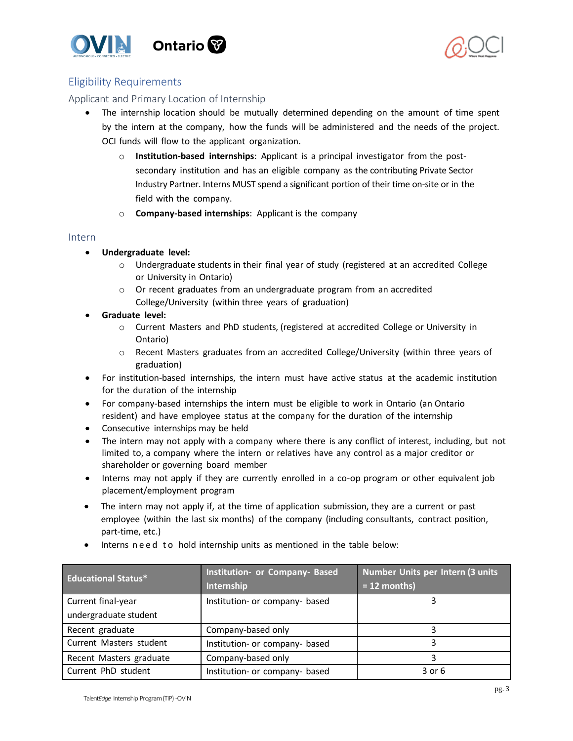



# <span id="page-2-0"></span>Eligibility Requirements

### Applicant and Primary Location of Internship

- The internship location should be mutually determined depending on the amount of time spent by the intern at the company, how the funds will be administered and the needs of the project. OCI funds will flow to the applicant organization.
	- o **Institution-based internships**: Applicant is a principal investigator from the postsecondary institution and has an eligible company as the contributing Private Sector Industry Partner. Interns MUST spend a significant portion of their time on-site or in the field with the company.
	- o **Company-based internships**: Applicant is the company

#### <span id="page-2-1"></span>Intern

- **Undergraduate level:**
	- o Undergraduate students in their final year of study (registered at an accredited College or University in Ontario)
	- o Or recent graduates from an undergraduate program from an accredited College/University (within three years of graduation)
- **Graduate level:**
	- o Current Masters and PhD students, (registered at accredited College or University in Ontario)
	- o Recent Masters graduates from an accredited College/University (within three years of graduation)
- For institution-based internships, the intern must have active status at the academic institution for the duration of the internship
- For company-based internships the intern must be eligible to work in Ontario (an Ontario resident) and have employee status at the company for the duration of the internship
- Consecutive internships may be held
- The intern may not apply with a company where there is any conflict of interest, including, but not limited to, a company where the intern or relatives have any control as a major creditor or shareholder or governing board member
- Interns may not apply if they are currently enrolled in a co-op program or other equivalent job placement/employment program
- The intern may not apply if, at the time of application submission, they are a current or past employee (within the last six months) of the company (including consultants, contract position, part-time, etc.)

| <b>Educational Status*</b> | Institution- or Company- Based<br>Internship | Number Units per Intern (3 units<br>$= 12$ months) |
|----------------------------|----------------------------------------------|----------------------------------------------------|
| Current final-year         | Institution- or company- based               |                                                    |
| undergraduate student      |                                              |                                                    |
| Recent graduate            | Company-based only                           |                                                    |
| Current Masters student    | Institution- or company- based               |                                                    |
| Recent Masters graduate    | Company-based only                           |                                                    |
| Current PhD student        | Institution- or company- based               | $3$ or $6$                                         |

• Interns need to hold internship units as mentioned in the table below: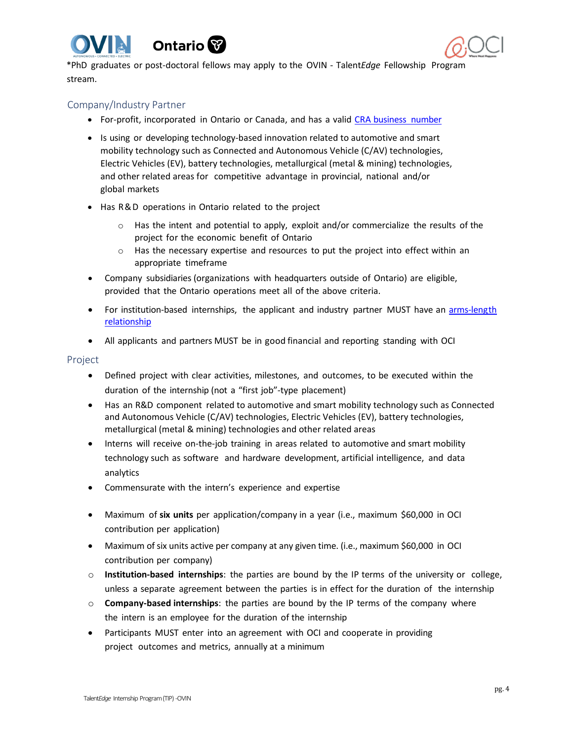





\*PhD graduates or post-doctoral fellows may apply to the OVIN - Talent*Edge* Fellowship Program stream.

### <span id="page-3-0"></span>Company/Industry Partner

- For-profit, incorporated in Ontario or Canada, and has a valid CRA [business](https://www.canada.ca/en/revenue-agency/services/tax/businesses/topics/registering-your-business/you-need-a-business-number-a-program-account.html) number
- Is using or developing technology-based innovation related to automotive and smart mobility technology such as Connected and Autonomous Vehicle (C/AV) technologies, Electric Vehicles (EV), battery technologies, metallurgical (metal & mining) technologies, and other related areas for competitive advantage in provincial, national and/or global markets
- Has R&D operations in Ontario related to the project
	- $\circ$  Has the intent and potential to apply, exploit and/or commercialize the results of the project for the economic benefit of Ontario
	- $\circ$  Has the necessary expertise and resources to put the project into effect within an appropriate timeframe
- Company subsidiaries (organizations with headquarters outside of Ontario) are eligible, provided that the Ontario operations meet all of the above criteria.
- For institution-based internships, the applicant and industry partner MUST have an [arms-length](https://www.nserc-crsng.gc.ca/NSERC-CRSNG/Policies-Politiques/orgpartners-orgpartenaires_eng.asp) [relationship](https://www.nserc-crsng.gc.ca/NSERC-CRSNG/Policies-Politiques/orgpartners-orgpartenaires_eng.asp)
- All applicants and partners MUST be in good financial and reporting standing with OCI

#### <span id="page-3-1"></span>Project

- Defined project with clear activities, milestones, and outcomes, to be executed within the duration of the internship (not a "first job"-type placement)
- Has an R&D component related to automotive and smart mobility technology such as Connected and Autonomous Vehicle (C/AV) technologies, Electric Vehicles (EV), battery technologies, metallurgical (metal & mining) technologies and other related areas
- Interns will receive on-the-job training in areas related to automotive and smart mobility technology such as software and hardware development, artificial intelligence, and data analytics
- Commensurate with the intern's experience and expertise
- Maximum of **six units** per application/company in a year (i.e., maximum \$60,000 in OCI contribution per application)
- Maximum of six units active per company at any given time. (i.e., maximum \$60,000 in OCI contribution per company)
- o **Institution-based internships**: the parties are bound by the IP terms of the university or college, unless a separate agreement between the parties is in effect for the duration of the internship
- o **Company-based internships**: the parties are bound by the IP terms of the company where the intern is an employee for the duration of the internship
- Participants MUST enter into an agreement with OCI and cooperate in providing project outcomes and metrics, annually at a minimum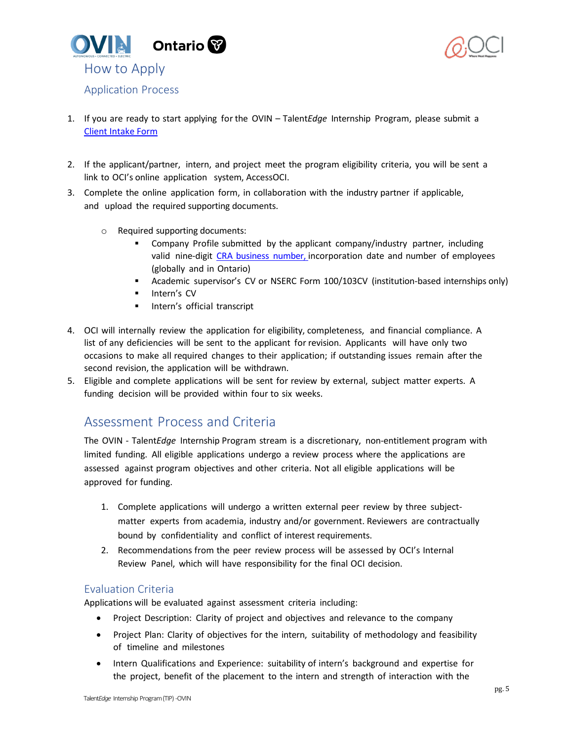<span id="page-4-0"></span>



- <span id="page-4-1"></span>1. If you are ready to start applying for the OVIN – Talent*Edge* Internship Program, please submit a [Client Intake Form](https://w3rcb4fd9nn.typeform.com/to/nUxjRXMO#name%3Dxxxxx)
- 2. If the applicant/partner, intern, and project meet the program eligibility criteria, you will be sent a link to OCI's online application system, AccessOCI.
- 3. Complete the online application form, in collaboration with the industry partner if applicable, and upload the required supporting documents.
	- o Required supporting documents:
		- Company Profile submitted by the applicant company/industry partner, including valid nine-digit CRA business number, [incorporation](https://www.canada.ca/en/revenue-agency/services/tax/businesses/topics/registering-your-business/you-need-a-business-number-a-program-account.html) date and number of employees [\(globally](https://www.canada.ca/en/revenue-agency/services/tax/businesses/topics/registering-your-business/you-need-a-business-number-a-program-account.html) and in [Ontario\)](https://www.canada.ca/en/revenue-agency/services/tax/businesses/topics/registering-your-business/you-need-a-business-number-a-program-account.html)
		- Academic supervisor's CV or NSERC Form 100/103CV (institution-based internships only)
		- **Intern's CV**
		- **Intern's official transcript**
- 4. OCI will internally review the application for eligibility, completeness, and financial compliance. A list of any deficiencies will be sent to the applicant for revision. Applicants will have only two occasions to make all required changes to their application; if outstanding issues remain after the second revision, the application will be withdrawn.
- 5. Eligible and complete applications will be sent for review by external, subject matter experts. A funding decision will be provided within four to six weeks.

# <span id="page-4-2"></span>Assessment Process and Criteria

The OVIN - Talent*Edge* Internship Program stream is a discretionary, non-entitlement program with limited funding. All eligible applications undergo a review process where the applications are assessed against program objectives and other criteria. Not all eligible applications will be approved for funding.

- 1. Complete applications will undergo a written external peer review by three subjectmatter experts from academia, industry and/or government. Reviewers are contractually bound by confidentiality and conflict of interest requirements.
- 2. Recommendations from the peer review process will be assessed by OCI's Internal Review Panel, which will have responsibility for the final OCI decision.

### <span id="page-4-3"></span>Evaluation Criteria

Applications will be evaluated against assessment criteria including:

- Project Description: Clarity of project and objectives and relevance to the company
- Project Plan: Clarity of objectives for the intern, suitability of methodology and feasibility of timeline and milestones
- Intern Qualifications and Experience: suitability of intern's background and expertise for the project, benefit of the placement to the intern and strength of interaction with the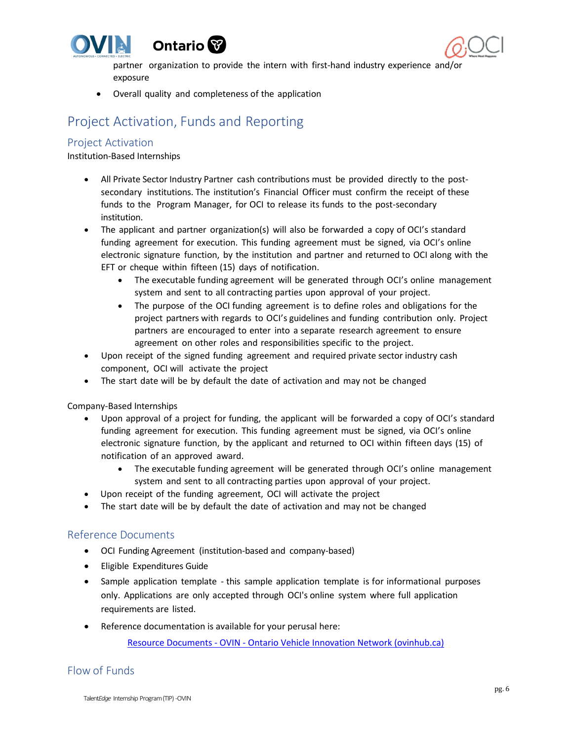





partner organization to provide the intern with first-hand industry experience and/or exposure

• Overall quality and completeness of the application

# <span id="page-5-0"></span>Project Activation, Funds and Reporting

### <span id="page-5-1"></span>Project Activation

Institution-Based Internships

- All Private Sector Industry Partner cash contributions must be provided directly to the postsecondary institutions. The institution's Financial Officer must confirm the receipt of these funds to the Program Manager, for OCI to release its funds to the post-secondary institution.
- The applicant and partner organization(s) will also be forwarded a copy of OCI's standard funding agreement for execution. This funding agreement must be signed, via OCI's online electronic signature function, by the institution and partner and returned to OCI along with the EFT or cheque within fifteen (15) days of notification.
	- The executable funding agreement will be generated through OCI's online management system and sent to all contracting parties upon approval of your project.
	- The purpose of the OCI funding agreement is to define roles and obligations for the project partners with regards to OCI's guidelines and funding contribution only. Project partners are encouraged to enter into a separate research agreement to ensure agreement on other roles and responsibilities specific to the project.
- Upon receipt of the signed funding agreement and required private sector industry cash component, OCI will activate the project
- The start date will be by default the date of activation and may not be changed

Company-Based Internships

- Upon approval of a project for funding, the applicant will be forwarded a copy of OCI's standard funding agreement for execution. This funding agreement must be signed, via OCI's online electronic signature function, by the applicant and returned to OCI within fifteen days (15) of notification of an approved award.
	- The executable funding agreement will be generated through OCI's online management system and sent to all contracting parties upon approval of your project.
- Upon receipt of the funding agreement, OCI will activate the project
- The start date will be by default the date of activation and may not be changed

### <span id="page-5-2"></span>Reference Documents

- OCI Funding Agreement (institution-based and company-based)
- Eligible Expenditures Guide
- Sample application template this sample application template is for informational purposes only. Applications are only accepted through OCI's online system where full application requirements are listed.
- Reference documentation is available for your perusal here:

Resource Documents - OVIN - [Ontario Vehicle Innovation Network \(ovinhub.ca\)](https://www.ovinhub.ca/resource-documents/)

# <span id="page-5-3"></span>Flow of Funds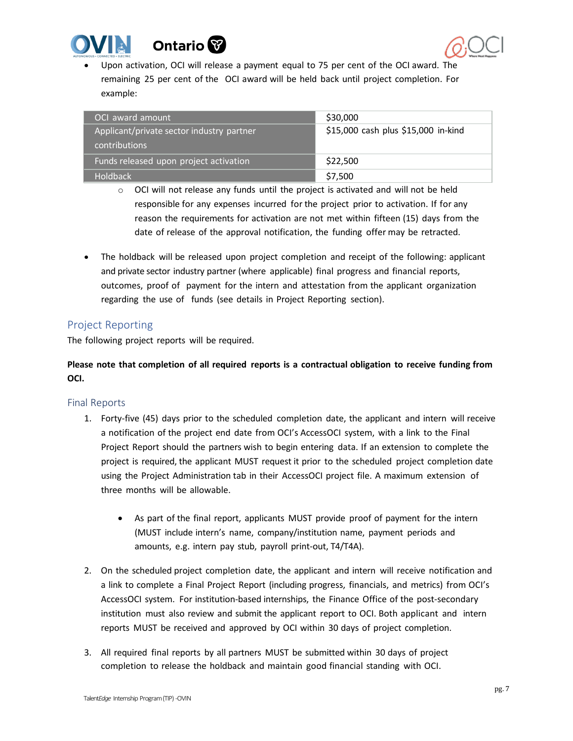



• Upon activation, OCI will release a payment equal to 75 per cent of the OCI award. The remaining 25 per cent of the OCI award will be held back until project completion. For example:

| OCI award amount                                                  | \$30,000                            |
|-------------------------------------------------------------------|-------------------------------------|
| Applicant/private sector industry partner<br><b>contributions</b> | \$15,000 cash plus \$15,000 in-kind |
| Funds released upon project activation                            | \$22,500                            |
| Holdback                                                          | \$7,500                             |

- $\circ$  OCI will not release any funds until the project is activated and will not be held responsible for any expenses incurred for the project prior to activation. If for any reason the requirements for activation are not met within fifteen (15) days from the date of release of the approval notification, the funding offer may be retracted.
- The holdback will be released upon project completion and receipt of the following: applicant and private sector industry partner (where applicable) final progress and financial reports, outcomes, proof of payment for the intern and attestation from the applicant organization regarding the use of funds (see details in Project Reporting section).

## <span id="page-6-0"></span>Project Reporting

The following project reports will be required.

# **Please note that completion of all required reports is a contractual obligation to receive funding from OCI.**

### <span id="page-6-1"></span>Final Reports

- 1. Forty-five (45) days prior to the scheduled completion date, the applicant and intern will receive a notification of the project end date from OCI's AccessOCI system, with a link to the Final Project Report should the partners wish to begin entering data. If an extension to complete the project is required, the applicant MUST request it prior to the scheduled project completion date using the Project Administration tab in their AccessOCI project file. A maximum extension of three months will be allowable.
	- As part of the final report, applicants MUST provide proof of payment for the intern (MUST include intern's name, company/institution name, payment periods and amounts, e.g. intern pay stub, payroll print-out, T4/T4A).
- 2. On the scheduled project completion date, the applicant and intern will receive notification and a link to complete a Final Project Report (including progress, financials, and metrics) from OCI's AccessOCI system. For institution-based internships, the Finance Office of the post-secondary institution must also review and submit the applicant report to OCI. Both applicant and intern reports MUST be received and approved by OCI within 30 days of project completion.
- 3. All required final reports by all partners MUST be submitted within 30 days of project completion to release the holdback and maintain good financial standing with OCI.